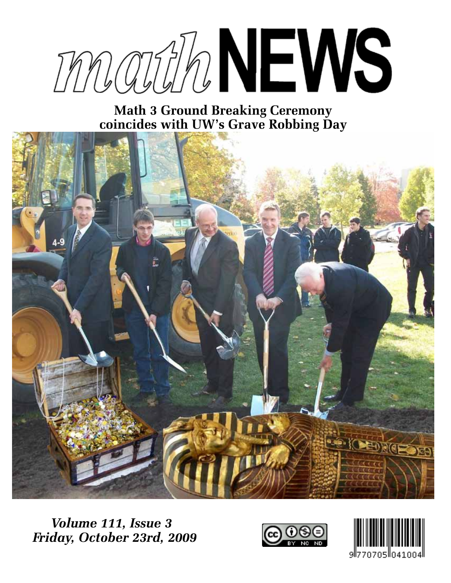

**Math 3 Ground Breaking Ceremony coincides with UW's Grave Robbing Day**



*Volume 111, Issue 3 Friday, October 23rd, 2009*



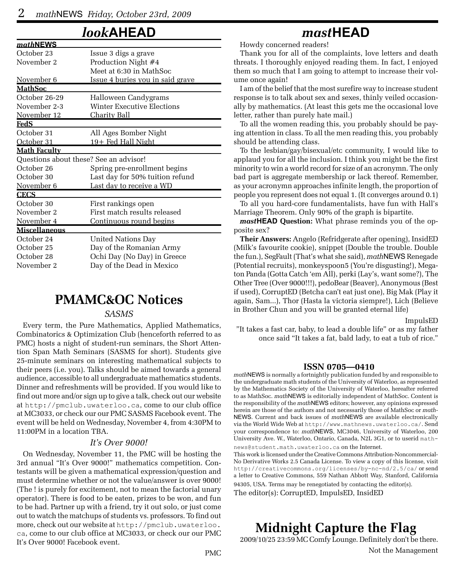*math***NEWS**

### *look***AHEAD**

| <i>matn</i> news                       |                                         |
|----------------------------------------|-----------------------------------------|
| October 23                             | Issue 3 digs a grave                    |
| November 2                             | Production Night #4                     |
|                                        | Meet at 6:30 in MathSoc                 |
| November 6                             | <u>Issue 4 buries you in said grave</u> |
| <u> MathSoc</u>                        |                                         |
| October 26-29                          | Halloween Candygrams                    |
| November 2-3                           | Winter Executive Elections              |
| November 12                            | <u>Charity Ball</u>                     |
| <u>FedS</u>                            |                                         |
| October 31                             | All Ages Bomber Night                   |
| October 31                             | 19+ Fed Hall Night                      |
| <b>Math Faculty</b>                    |                                         |
| Questions about these? See an advisor! |                                         |
| October 26                             | Spring pre-enrollment begins            |
| October 30                             | Last day for 50% tuition refund         |
| November 6                             | Last day to receive a WD                |
| <u>CECS</u>                            |                                         |
| October 30                             | First rankings open                     |
| November 2                             | First match results released            |
| November 4                             | <u>Continuous round begins</u>          |
| <u>Miscellaneous</u>                   |                                         |
| October 24                             | United Nations Day                      |
| October 25                             | Day of the Romanian Army                |
| October 28                             | Ochi Day (No Day) in Greece             |
| November 2                             | Day of the Dead in Mexico               |
|                                        |                                         |

### **PMAMC&OC Notices**

#### *SASMS*

Every term, the Pure Mathematics, Applied Mathematics, Combinatorics & Optimization Club (henceforth referred to as PMC) hosts a night of student-run seminars, the Short Attention Span Math Seminars (SASMS for short). Students give 25-minute seminars on interesting mathematical subjects to their peers (i.e. you). Talks should be aimed towards a general audience, accessible to all undergraduate mathematics students. Dinner and refreshments will be provided. If you would like to find out more and/or sign up to give a talk, check out our website at http://pmclub.uwaterloo.ca, come to our club office at MC3033, or check our our PMC SASMS Facebook event. The event will be held on Wednesday, November 4, from 4:30PM to 11:00PM in a location TBA.

#### *It's Over 9000!*

On Wednesday, November 11, the PMC will be hosting the 3rd annual "It's Over 9000!" mathematics competition. Contestants will be given a mathematical expression/question and must determine whether or not the value/answer is over 9000! (The ! is purely for excitement, not to mean the factorial unary operator). There is food to be eaten, prizes to be won, and fun to be had. Partner up with a friend, try it out solo, or just come out to watch the matchups of students vs. professors. To find out more, check out our website at http://pmclub.uwaterloo. ca, come to our club office at MC3033, or check our our PMC It's Over 9000! Facebook event.

### *mast***HEAD**

Howdy concerned readers!

Thank you for all of the complaints, love letters and death threats. I thoroughly enjoyed reading them. In fact, I enjoyed them so much that I am going to attempt to increase their volume once again!

I am of the belief that the most surefire way to increase student response is to talk about sex and sexes, thinly veiled occasionally by mathematics. (At least this gets me the occasional love letter, rather than purely hate mail.)

To all the women reading this, you probably should be paying attention in class. To all the men reading this, you probably should be attending class.

To the lesbian/gay/bisexual/etc community, I would like to applaud you for all the inclusion. I think you might be the first minority to win a world record for size of an acronymn. The only bad part is aggregate membership or lack thereof. Remember, as your acronymn approaches infinite length, the proportion of people you represent does not equal 1. (It converges around 0.1)

To all you hard-core fundamentalists, have fun with Hall's Marriage Theorem. Only 90% of the graph is bipartite.

*mast***HEAD Question:** What phrase reminds you of the opposite sex?

**Their Answers:** Angelo (Refridgerate after opening), InsidED (Milk's favourite cookie), snippet (Double the trouble. Double the fun.), SegFault (That's what she said), *math*NEWS Renegade (Potential recruits), monkeyspoon5 (You're disgusting!), Megaton Panda (Gotta Catch 'em All), perki (Lay's, want some?), The Other Tree (Over 9000!!!), pedoBear (Beaver), Anonymous (Best if used), CorruptED (Betcha can't eat just one), Big Mak (Play it again, Sam...), Thor (Hasta la victoria siempre!), Lich (Believe in Brother Chun and you will be granted eternal life)

ImpulsED

"It takes a fast car, baby, to lead a double life" or as my father once said "It takes a fat, bald lady, to eat a tub of rice."

#### **ISSN 0705—0410**

*math*NEWS is normally a fortnightly publication funded by and responsible to the undergraduate math students of the University of Waterloo, as represented by the Mathematics Society of the University of Waterloo, hereafter referred to as MathSoc. *math*NEWS is editorially independent of MathSoc. Content is the responsibility of the *math*NEWS editors; however, any opinions expressed herein are those of the authors and not necessarily those of MathSoc or *math-*NEWS. Current and back issues of *math*NEWS are available electronically via the World Wide Web at http://www.mathnews.uwaterloo.ca/. Send your correspondence to: *math*NEWS, MC3046, University of Waterloo, 200 University Ave. W., Waterloo, Ontario, Canada, N2L 3G1, or to userid mathnews@student.math.uwaterloo.ca on the Internet.

This work is licensed under the Creative Commons Attribution-Noncommercial-No Derivative Works 2.5 Canada License. To view a copy of this license, visit http://creativecommons.org/licenses/by-nc-nd/2.5/ca/ or send a letter to Creative Commons, 559 Nathan Abbott Way, Stanford, California 94305, USA. Terms may be renegotiated by contacting the editor(s). The editor(s): CorruptED, ImpulsED, InsidED

### **Midnight Capture the Flag**

2009/10/25 23:59 MC Comfy Lounge. Definitely don't be there.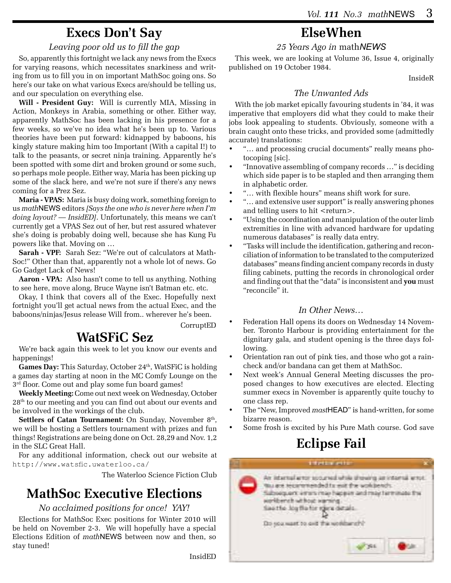### **Execs Don't Say**

#### *Leaving poor old us to fill the gap*

So, apparently this fortnight we lack any news from the Execs for varying reasons, which necessitates snarkiness and writing from us to fill you in on important MathSoc going ons. So here's our take on what various Execs are/should be telling us, and our speculation on everything else.

**Will - President Guy:** Will is currently MIA, Missing in Action, Monkeys in Arabia, something or other. Either way, apparently MathSoc has been lacking in his presence for a few weeks, so we've no idea what he's been up to. Various theories have been put forward: kidnapped by baboons, his kingly stature making him too Important (With a capital I!) to talk to the peasants, or secret ninja training. Apparently he's been spotted with some dirt and broken ground or some such, so perhaps mole people. Either way, Maria has been picking up some of the slack here, and we're not sure if there's any news coming for a Prez Sez.

**Maria - VPAS:** Maria is busy doing work, something foreign to us *math*NEWS editors *[Says the one who is never here when I'm doing layout? — InsidED]*. Unfortunately, this means we can't currently get a VPAS Sez out of her, but rest assured whatever she's doing is probably doing well, because she has Kung Fu powers like that. Moving on …

**Sarah - VPF:** Sarah Sez: "We're out of calculators at Math-Soc!" Other than that, apparently not a whole lot of news. Go Go Gadget Lack of News!

**Aaron - VPA:** Also hasn't come to tell us anything. Nothing to see here, move along, Bruce Wayne isn't Batman etc. etc.

Okay, I think that covers all of the Exec. Hopefully next fortnight you'll get actual news from the actual Exec, and the baboons/ninjas/Jesus release Will from.. wherever he's been.

CorruptED

InsidED

### **WatSFiC Sez**

We're back again this week to let you know our events and happenings!

**Games Day:** This Saturday, October 24<sup>th</sup>, WatSFiC is holding a games day starting at noon in the MC Comfy Lounge on the  $3<sup>rd</sup>$  floor. Come out and play some fun board games!

**Weekly Meeting:** Come out next week on Wednesday, October 28th to our meeting and you can find out about our events and be involved in the workings of the club.

**Settlers of Catan Tournament:** On Sunday, November 8<sup>th</sup>, we will be hosting a Settlers tournament with prizes and fun things! Registrations are being done on Oct. 28,29 and Nov. 1,2 in the SLC Great Hall.

For any additional information, check out our website at http://www.watsfic.uwaterloo.ca/

The Waterloo Science Fiction Club

### **MathSoc Executive Elections**

#### *No acclaimed positions for once! YAY!*

Elections for MathSoc Exec positions for Winter 2010 will be held on November 2-3. We will hopefully have a special Elections Edition of *math*NEWS between now and then, so stay tuned!

## **ElseWhen**

#### *25 Years Ago in* math*NEWS*

This week, we are looking at Volume 36, Issue 4, originally published on 19 October 1984.

InsideR

#### *The Unwanted Ads*

With the job market epically favouring students in '84, it was imperative that employers did what they could to make their jobs look appealing to students. Obviously, someone with a brain caught onto these tricks, and provided some (admittedly accurate) translations:

- "... and processing crucial documents" really means photocoping [sic].
- "Innovative assembling of company records ..." is deciding which side paper is to be stapled and then arranging them in alphabetic order.
- "... with flexible hours" means shift work for sure.
- "... and extensive user support" is really answering phones and telling users to hit <return>.
- "Using the coordination and manipulation of the outer limb extremities in line with advanced hardware for updating numerous databases" is really data entry.
- "Tasks will include the identification, gathering and reconciliation of information to be translated to the computerized databases" means finding ancient company records in dusty filing cabinets, putting the records in chronological order and finding out that the "data" is inconsistent and **you** must "reconcile" it.

#### *In Other News…*

- Federation Hall opens its doors on Wednesday 14 November. Toronto Harbour is providing entertainment for the dignitary gala, and student opening is the three days following.
- Orientation ran out of pink ties, and those who got a raincheck and/or bandana can get them at MathSoc.
- Next week's Annual General Meeting discusses the proposed changes to how executives are elected. Electing summer execs in November is apparently quite touchy to one class rep.
- The "New, Improved *mast*HEAD" is hand-written, for some bizarre reason.
- Some frosh is excited by his Pure Math course. God save

# **Eclipse Fail**

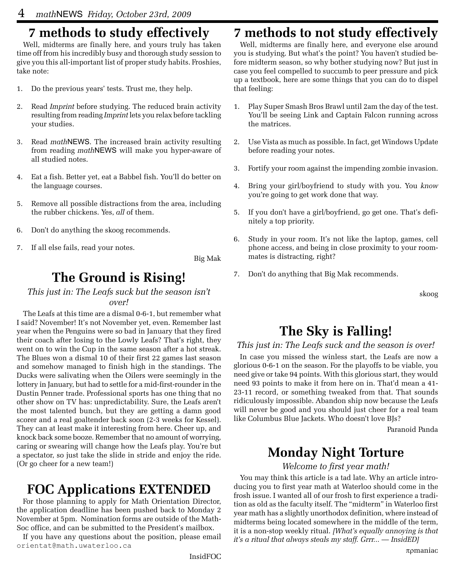# **7 methods to study effectively**

Well, midterms are finally here, and yours truly has taken time off from his incredibly busy and thorough study session to give you this all-important list of proper study habits. Froshies, take note:

- 1. Do the previous years' tests. Trust me, they help.
- 2. Read *Imprint* before studying. The reduced brain activity resulting from reading *Imprint* lets you relax before tackling your studies.
- 3. Read *math*NEWS. The increased brain activity resulting from reading *math*NEWS will make you hyper-aware of all studied notes.
- 4. Eat a fish. Better yet, eat a Babbel fish. You'll do better on the language courses.
- 5. Remove all possible distractions from the area, including the rubber chickens. Yes, *all* of them.
- 6. Don't do anything the skoog recommends.
- 7. If all else fails, read your notes.

Big Mak

# **The Ground is Rising!**

#### *This just in: The Leafs suck but the season isn't over!*

The Leafs at this time are a dismal 0-6-1, but remember what I said? November! It's not November yet, even. Remember last year when the Penguins were so bad in January that they fired their coach after losing to the Lowly Leafs? That's right, they went on to win the Cup in the same season after a hot streak. The Blues won a dismal 10 of their first 22 games last season and somehow managed to finish high in the standings. The Ducks were salivating when the Oilers were seemingly in the lottery in January, but had to settle for a mid-first-rounder in the Dustin Penner trade. Professional sports has one thing that no other show on TV has: unpredictability. Sure, the Leafs aren't the most talented bunch, but they are getting a damn good scorer and a real goaltender back soon (2-3 weeks for Kessel). They can at least make it interesting from here. Cheer up, and knock back some booze. Remember that no amount of worrying, caring or swearing will change how the Leafs play. You're but a spectator, so just take the slide in stride and enjoy the ride. (Or go cheer for a new team!)

### **FOC Applications EXTENDED**

For those planning to apply for Math Orientation Director, the application deadline has been pushed back to Monday 2 November at 5pm. Nomination forms are outside of the Math-Soc office, and can be submitted to the President's mailbox.

If you have any questions about the position, please email orientat@math.uwaterloo.ca

# **7 methods to not study effectively**

Well, midterms are finally here, and everyone else around you is studying. But what's the point? You haven't studied before midterm season, so why bother studying now? But just in case you feel compelled to succumb to peer pressure and pick up a textbook, here are some things that you can do to dispel that feeling:

- 1. Play Super Smash Bros Brawl until 2am the day of the test. You'll be seeing Link and Captain Falcon running across the matrices.
- 2. Use Vista as much as possible. In fact, get Windows Update before reading your notes.
- 3. Fortify your room against the impending zombie invasion.
- 4. Bring your girl/boyfriend to study with you. You *know* you're going to get work done that way.
- 5. If you don't have a girl/boyfriend, go get one. That's definitely a top priority.
- 6. Study in your room. It's not like the laptop, games, cell phone access, and being in close proximity to your roommates is distracting, right?
- 7. Don't do anything that Big Mak recommends.

skoog

# **The Sky is Falling!**

#### *This just in: The Leafs suck and the season is over!*

In case you missed the winless start, the Leafs are now a glorious 0-6-1 on the season. For the playoffs to be viable, you need give or take 94 points. With this glorious start, they would need 93 points to make it from here on in. That'd mean a 41- 23-11 record, or something tweaked from that. That sounds ridiculously impossible. Abandon ship now because the Leafs will never be good and you should just cheer for a real team like Columbus Blue Jackets. Who doesn't love BJs?

Paranoid Panda

# **Monday Night Torture**

*Welcome to first year math!*

You may think this article is a tad late. Why an article introducing you to first year math at Waterloo should come in the frosh issue. I wanted all of our frosh to first experience a tradition as old as the faculty itself. The "midterm" in Waterloo first year math has a slightly unorthodox definition, where instead of midterms being located somewhere in the middle of the term, it is a non-stop weekly ritual. *[What's equally annoying is that it's a ritual that always steals my staff. Grrr... — InsidED]*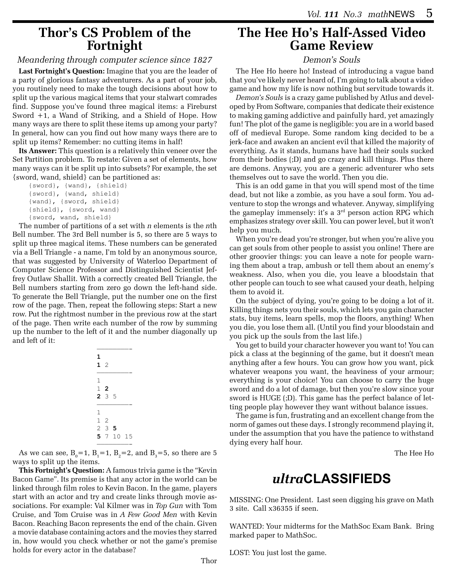### **Thor's CS Problem of the Fortnight**

#### *Meandering through computer science since 1827*

**Last Fortnight's Question:** Imagine that you are the leader of a party of glorious fantasy adventurers. As a part of your job, you routinely need to make the tough decisions about how to split up the various magical items that your stalwart comrades find. Suppose you've found three magical items: a Fireburst Sword +1, a Wand of Striking, and a Shield of Hope. How many ways are there to split these items up among your party? In general, how can you find out how many ways there are to split up items? Remember: no cutting items in half!

**Its Answer:** This question is a relatively thin veneer over the Set Partition problem. To restate: Given a set of elements, how many ways can it be split up into subsets? For example, the set {sword, wand, shield} can be partitioned as:

```
 {sword}, {wand}, {shield}
{sword}, {wand, shield}
{wand}, {sword, shield}
{shield}, {sword, wand}
{sword, wand, shield}
```
The number of partitions of a set with *n* elements is the *n*th Bell number. The 3rd Bell number is 5, so there are 5 ways to split up three magical items. These numbers can be generated via a Bell Triangle - a name, I'm told by an anonymous source, that was suggested by University of Waterloo Department of Computer Science Professor and Distinguished Scientist Jeffrey Outlaw Shallit. With a correctly created Bell Triangle, the Bell numbers starting from zero go down the left-hand side. To generate the Bell Triangle, put the number one on the first row of the page. Then, repeat the following steps: Start a new row. Put the rightmost number in the previous row at the start of the page. Then write each number of the row by summing up the number to the left of it and the number diagonally up and left of it:

| 1<br>12                          |                 |         |    |
|----------------------------------|-----------------|---------|----|
| 1                                | $1\,2$<br>2 3 5 |         |    |
| 1<br>1<br>$\frac{2}{\cdot}$<br>5 | -2<br>3<br>7    | 5<br>10 | 15 |

————————- As we can see,  $B_0 = 1$ ,  $B_1 = 1$ ,  $B_2 = 2$ , and  $B_3 = 5$ , so there are 5 ways to split up the items.

**This Fortnight's Question:** A famous trivia game is the "Kevin Bacon Game". Its premise is that any actor in the world can be linked through film roles to Kevin Bacon. In the game, players start with an actor and try and create links through movie associations. For example: Val Kilmer was in *Top Gun* with Tom Cruise, and Tom Cruise was in *A Few Good Men* with Kevin Bacon. Reaching Bacon represents the end of the chain. Given a movie database containing actors and the movies they starred in, how would you check whether or not the game's premise holds for every actor in the database?

### **The Hee Ho's Half-Assed Video Game Review**

#### *Demon's Souls*

The Hee Ho heere ho! Instead of introducing a vague band that you've likely never heard of, I'm going to talk about a video game and how my life is now nothing but servitude towards it.

*Demon's Souls* is a crazy game published by Atlus and developed by From Software, companies that dedicate their existence to making gaming addictive and painfully hard, yet amazingly fun! The plot of the game is negligible: you are in a world based off of medieval Europe. Some random king decided to be a jerk-face and awaken an ancient evil that killed the majority of everything. As it stands, humans have had their souls sucked from their bodies (;D) and go crazy and kill things. Plus there are demons. Anyway, you are a generic adventurer who sets themselves out to save the world. Then you die.

This is an odd game in that you will spend most of the time dead, but not like a zombie, as you have a soul form. You adventure to stop the wrongs and whatever. Anyway, simplifying the gameplay immensely: it's a 3rd person action RPG which emphasizes strategy over skill. You can power level, but it won't help you much.

When you're dead you're stronger, but when you're alive you can get souls from other people to assist you online! There are other groovier things: you can leave a note for people warning them about a trap, ambush or tell them about an enemy's weakness. Also, when you die, you leave a bloodstain that other people can touch to see what caused your death, helping them to avoid it.

On the subject of dying, you're going to be doing a lot of it. Killing things nets you their souls, which lets you gain character stats, buy items, learn spells, mop the floors, anything! When you die, you lose them all. (Until you find your bloodstain and you pick up the souls from the last life.)

You get to build your character however you want to! You can pick a class at the beginning of the game, but it doesn't mean anything after a few hours. You can grow how you want, pick whatever weapons you want, the heaviness of your armour; everything is your choice! You can choose to carry the huge sword and do a lot of damage, but then you're slow since your sword is HUGE (;D). This game has the perfect balance of letting people play however they want without balance issues.

The game is fun, frustrating and an excellent change from the norm of games out these days. I strongly recommend playing it, under the assumption that you have the patience to withstand dying every half hour.

The Hee Ho

### *ultra***CLASSIFIEDS**

MISSING: One President. Last seen digging his grave on Math 3 site. Call x36355 if seen.

WANTED: Your midterms for the MathSoc Exam Bank. Bring marked paper to MathSoc.

LOST: You just lost the game.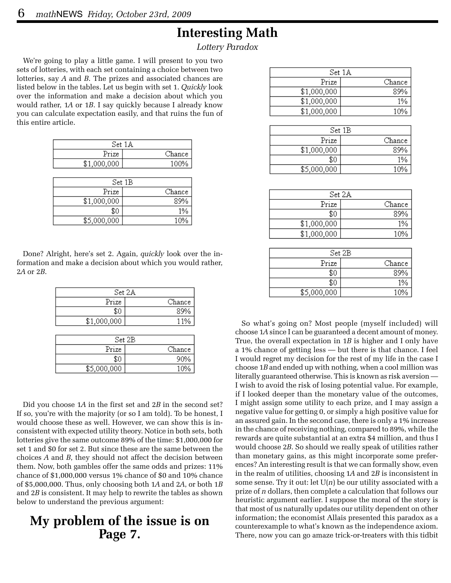### **Interesting Math**

*Lottery Paradox*

We're going to play a little game. I will present to you two sets of lotteries, with each set containing a choice between two lotteries, say *A* and *B*. The prizes and associated chances are listed below in the tables. Let us begin with set 1. *Quickly* look over the information and make a decision about which you would rather, 1*A* or 1*B*. I say quickly because I already know you can calculate expectation easily, and that ruins the fun of this entire article.

|             | Set 1A |
|-------------|--------|
| Prize       | Chance |
| \$1,000,000 | 100%   |
|             |        |
|             | Set 1B |
| Prize       | Chance |
| \$1,000,000 | 89%    |
| \$0         | 1%     |
| \$5,000,000 |        |

Done? Alright, here's set 2. Again, *quickly* look over the information and make a decision about which you would rather, 2*A* or 2*B*.

| Set 2A      |        |
|-------------|--------|
| Prize       | Chance |
| \$0         | 89%    |
| \$1,000,000 | 11%    |
|             |        |
| Set 2B      |        |
|             | Chance |

\$0

\$5,000,000

90%

10%

Did you choose 1*A* in the first set and 2*B* in the second set? If so, you're with the majority (or so I am told). To be honest, I would choose these as well. However, we can show this is inconsistent with expected utility theory. Notice in both sets, both lotteries give the same outcome 89% of the time: \$1,000,000 for set 1 and \$0 for set 2. But since these are the same between the choices *A* and *B*, they should not affect the decision between them. Now, both gambles offer the same odds and prizes: 11% chance of \$1,000,000 versus 1% chance of \$0 and 10% chance of \$5,000,000. Thus, only choosing both 1*A* and 2*A*, or both 1*B* and 2*B* is consistent. It may help to rewrite the tables as shown below to understand the previous argument:

### **My problem of the issue is on Page 7.**

|             | $\operatorname{Set} 1\mathbb{A}$ |
|-------------|----------------------------------|
| Prize       | Chance                           |
| \$1,000,000 | 89%                              |
| \$1,000,000 | 1%                               |
| \$1,000,000 | 10%                              |
|             |                                  |
|             | $Set$ 1B                         |
| Prize       | Chance                           |
| \$1,000,000 | 89%                              |
| \$0         | 1%                               |
| \$5,000,000 | 10%                              |
|             |                                  |
|             |                                  |
|             | Set 2A                           |
| Prize       | Chance                           |
| \$0         | 89%                              |
| \$1,000,000 | 1%                               |
| \$1,000,000 | 10%                              |
|             |                                  |
|             | Set 2B                           |
| Prize       | Chance                           |
| \$0         | 89%                              |
| \$0         | 1%                               |
| \$5,000,000 | 10%                              |

So what's going on? Most people (myself included) will choose 1*A* since I can be guaranteed a decent amount of money. True, the overall expectation in 1*B* is higher and I only have a 1% chance of getting less — but there is that chance. I feel I would regret my decision for the rest of my life in the case I choose 1*B* and ended up with nothing, when a cool million was literally guaranteed otherwise. This is known as risk aversion — I wish to avoid the risk of losing potential value. For example, if I looked deeper than the monetary value of the outcomes, I might assign some utility to each prize, and I may assign a negative value for getting 0, or simply a high positive value for an assured gain. In the second case, there is only a 1% increase in the chance of receiving nothing, compared to 89%, while the rewards are quite substantial at an extra \$4 million, and thus I would choose 2*B*. So should we really speak of utilities rather than monetary gains, as this might incorporate some preferences? An interesting result is that we can formally show, even in the realm of utilities, choosing 1*A* and 2*B* is inconsistent in some sense. Try it out: let U(*n*) be our utility associated with a prize of *n* dollars, then complete a calculation that follows our heuristic argument earlier. I suppose the moral of the story is that most of us naturally updates our utility dependent on other information; the economist Allais presented this paradox as a counterexample to what's known as the independence axiom. There, now you can go amaze trick-or-treaters with this tidbit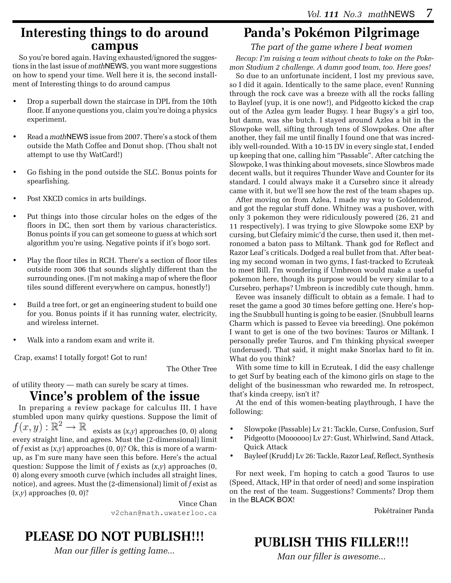### **Interesting things to do around campus**

So you're bored again. Having exhausted/ignored the suggestions in the last issue of *math*NEWS, you want more suggestions on how to spend your time. Well here it is, the second installment of Interesting things to do around campus

- Drop a superball down the staircase in DPL from the 10th floor. If anyone questions you, claim you're doing a physics experiment.
- Read a *math*NEWS issue from 2007. There's a stock of them outside the Math Coffee and Donut shop. (Thou shalt not attempt to use thy WatCard!)
- Go fishing in the pond outside the SLC. Bonus points for spearfishing.
- Post XKCD comics in arts buildings.
- Put things into those circular holes on the edges of the floors in DC, then sort them by various characteristics. Bonus points if you can get someone to guess at which sort algorithm you're using. Negative points if it's bogo sort.
- Play the floor tiles in RCH. There's a section of floor tiles outside room 306 that sounds slightly different than the surrounding ones. (I'm not making a map of where the floor tiles sound different everywhere on campus, honestly!)
- Build a tree fort, or get an engineering student to build one for you. Bonus points if it has running water, electricity, and wireless internet.
- Walk into a random exam and write it.

Crap, exams! I totally forgot! Got to run!

The Other Tree

#### of utility theory — math can surely be scary at times. **Vince's problem of the issue**

In preparing a review package for calculus III, I have stumbled upon many quirky questions. Suppose the limit of  $f(x, y) : \mathbb{R}^2 \to \mathbb{R}$  exists as  $(x, y)$  annonaches  $(0, 0)$  along exists as (*x*,*y*) approaches (0, 0) along every straight line, and agrees. Must the (2-dimensional) limit of *f* exist as (*x*,*y*) approaches (0, 0)? Ok, this is more of a warmup, as I'm sure many have seen this before. Here's the actual question: Suppose the limit of *f* exists as (*x*,*y*) approaches (0, 0) along every smooth curve (which includes all straight lines, notice), and agrees. Must the (2-dimensional) limit of *f* exist as (*x*,*y*) approaches (0, 0)?

> Vince Chan v2chan@math.uwaterloo.ca

### **PLEASE DO NOT PUBLISH!!!**

*Man our filler is getting lame...*

## **Panda's Pokémon Pilgrimage**

*The part of the game where I beat women*

*Recap: I'm raising a team without cheats to take on the Pokemon Stadium 2 challenge. A damn good team, too. Here goes!*

So due to an unfortunate incident, I lost my previous save, so I did it again. Identically to the same place, even! Running through the rock cave was a breeze with all the rocks falling to Bayleef (yup, it is one now!), and Pidgeotto kicked the crap out of the Azlea gym leader Bugsy. I hear Bugsy's a girl too, but damn, was she butch. I stayed around Azlea a bit in the Slowpoke well, sifting through tens of Slowpokes. One after another, they fail me until finally I found one that was incredibly well-rounded. With a 10-15 DV in every single stat, I ended up keeping that one, calling him "Passable". After catching the Slowpoke, I was thinking about movesets, since Slowbros made decent walls, but it requires Thunder Wave and Counter for its standard. I could always make it a Cursebro since it already came with it, but we'll see how the rest of the team shapes up.

After moving on from Azlea, I made my way to Goldenrod, and got the regular stuff done. Whitney was a pushover, with only 3 pokemon they were ridiculously powered (26, 21 and 11 respectively). I was trying to give Slowpoke some EXP by cursing, but Clefairy mimic'd the curse, then used it, then metronomed a baton pass to Miltank. Thank god for Reflect and Razor Leaf's criticals. Dodged a real bullet from that. After beating my second woman in two gyms, I fast-tracked to Ecruteak to meet Bill. I'm wondering if Umbreon would make a useful pokemon here, though its purpose would be very similar to a Cursebro, perhaps? Umbreon is incredibly cute though, hmm.

Eevee was insanely difficult to obtain as a female. I had to reset the game a good 30 times before getting one. Here's hoping the Snubbull hunting is going to be easier. (Snubbull learns Charm which is passed to Eevee via breeding). One pokémon I want to get is one of the two bovines: Tauros or Miltank. I personally prefer Tauros, and I'm thinking physical sweeper (underused). That said, it might make Snorlax hard to fit in. What do you think?

With some time to kill in Ecruteak, I did the easy challenge to get Surf by beating each of the kimono girls on stage to the delight of the businessman who rewarded me. In retrospect, that's kinda creepy, isn't it?

At the end of this women-beating playthrough, I have the following:

- • Slowpoke (Passable) Lv 21: Tackle, Curse, Confusion, Surf
- Pidgeotto (Moooooo) Lv 27: Gust, Whirlwind, Sand Attack, Quick Attack
- • Bayleef (Krudd) Lv 26: Tackle, Razor Leaf, Reflect, Synthesis

For next week, I'm hoping to catch a good Tauros to use (Speed, Attack, HP in that order of need) and some inspiration on the rest of the team. Suggestions? Comments? Drop them in the BLACK BOX!

Pokétrainer Panda

# **PUBLISH THIS FILLER!!!**

*Man our filler is awesome...*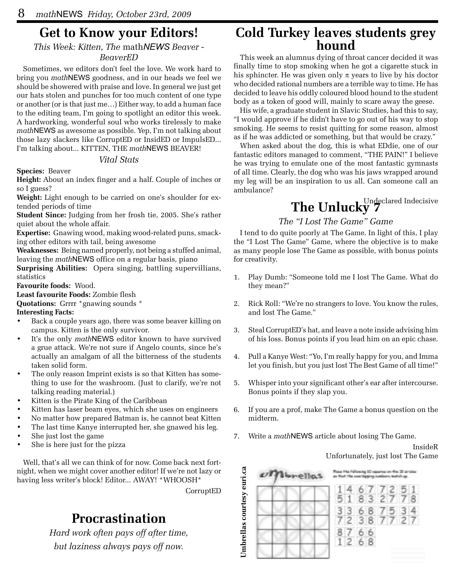### **Get to Know your Editors!**

*This Week: Kitten, The* math*NEWS Beaver -* 

#### *BeaverED*

Sometimes, we editors don't feel the love. We work hard to bring you *math*NEWS goodness, and in our heads we feel we should be showered with praise and love. In general we just get our hats stolen and punches for too much content of one type or another (or is that just me…) Either way, to add a human face to the editing team, I'm going to spotlight an editor this week. A hardworking, wonderful soul who works tirelessly to make *math*NEWS as awesome as possible. Yep, I'm not talking about those lazy slackers like CorruptED or InsidED or ImpulsED... I'm talking about... KITTEN, THE *math*NEWS BEAVER!

#### *Vital Stats*

**Species:** Beaver

**Height:** About an index finger and a half. Couple of inches or so I guess?

**Weight:** Light enough to be carried on one's shoulder for extended periods of time

**Student Since:** Judging from her frosh tie, 2005. She's rather quiet about the whole affair.

**Expertise:** Gnawing wood, making wood-related puns, smacking other editors with tail, being awesome

**Weaknesses:** Being named properly, not being a stuffed animal, leaving the *math*NEWS office on a regular basis, piano

**Surprising Abilities:** Opera singing, battling supervillians, statistics

**Favourite foods:** Wood.

**Least favourite Foods:** Zombie flesh

**Quotations:** Grrrr \*gnawing sounds \*

**Interesting Facts:**

- Back a couple years ago, there was some beaver killing on campus. Kitten is the only survivor.
- It's the only *math*NEWS editor known to have survived a grue attack. We're not sure if Angelo counts, since he's actually an amalgam of all the bitterness of the students taken solid form.
- The only reason Imprint exists is so that Kitten has something to use for the washroom. (Just to clarify, we're not talking reading material.)
- Kitten is the Pirate King of the Caribbean
- Kitten has laser beam eyes, which she uses on engineers
- No matter how prepared Batman is, he cannot beat Kitten
- The last time Kanye interrupted her, she gnawed his leg.
- She just lost the game
- She is here just for the pizza

Well, that's all we can think of for now. Come back next fortnight, when we might cover another editor! If we're not lazy or having less writer's block! Editor... AWAY! \*WHOOSH\*

CorruptED

# **Procrastination**

*Hard work often pays off after time, but laziness always pays off now.*

# **Cold Turkey leaves students grey hound**

This week an alumnus dying of throat cancer decided it was finally time to stop smoking when he got a cigarette stuck in his sphincter. He was given only  $\pi$  years to live by his doctor who decided rational numbers are a terrible way to time. He has decided to leave his oddly coloured blood hound to the student body as a token of good will, mainly to scare away the geese.

His wife, a graduate student in Slavic Studies, had this to say, "I would approve if he didn't have to go out of his way to stop smoking. He seems to resist quitting for some reason, almost as if he was addicted or something, but that would be crazy."

When asked about the dog, this is what EDdie, one of our fantastic editors managed to comment, "THE PAIN!" I believe he was trying to emulate one of the most fantastic gymnasts of all time. Clearly, the dog who was his jaws wrapped around my leg will be an inspiration to us all. Can someone call an ambulance?

# The Unlucky<sup>Undeclared Indecisive</sup>

#### *The "I Lost The Game" Game*

I tend to do quite poorly at The Game. In light of this, I play the "I Lost The Game" Game, where the objective is to make as many people lose The Game as possible, with bonus points for creativity.

- 1. Play Dumb: "Someone told me I lost The Game. What do they mean?"
- 2. Rick Roll: "We're no strangers to love. You know the rules, and lost The Game."
- 3. Steal CorruptED's hat, and leave a note inside advising him of his loss. Bonus points if you lead him on an epic chase.
- 4. Pull a Kanye West: "Yo, I'm really happy for you, and Imma let you finish, but you just lost The Best Game of all time!"
- 5. Whisper into your significant other's ear after intercourse. Bonus points if they slap you.
- 6. If you are a prof, make The Game a bonus question on the midterm.
- 7. Write a *math*NEWS article about losing The Game.

InsideR Unfortunately, just lost The Game

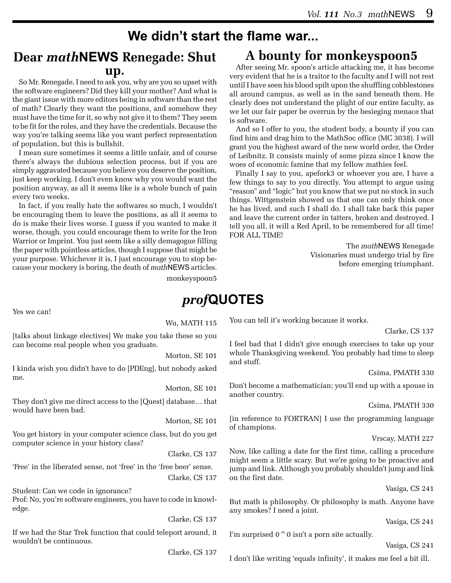### **We didn't start the flame war...**

### **Dear** *math***NEWS Renegade: Shut up.**

So Mr. Renegade, I need to ask you, why are you so upset with the software engineers? Did they kill your mother? And what is the giant issue with more editors being in software than the rest of math? Clearly they want the positions, and somehow they must have the time for it, so why not give it to them? They seem to be fit for the roles, and they have the credentials. Because the way you're talking seems like you want perfect representation of population, but this is bullshit.

I mean sure sometimes it seems a little unfair, and of course there's always the dubious selection process, but if you are simply aggravated because you believe you deserve the position, just keep working. I don't even know why you would want the position anyway, as all it seems like is a whole bunch of pain every two weeks.

In fact, if you really hate the softwares so much, I wouldn't be encouraging them to leave the positions, as all it seems to do is make their lives worse. I guess if you wanted to make it worse, though, you could encourage them to write for the Iron Warrior or Imprint. You just seem like a silly demagogue filling the paper with pointless articles, though I suppose that might be your purpose. Whichever it is, I just encourage you to stop because your mockery is boring, the death of *math*NEWS articles.

## **A bounty for monkeyspoon5**

After seeing Mr. spoon's article attacking me, it has become very evident that he is a traitor to the faculty and I will not rest until I have seen his blood spilt upon the shuffling cobblestones all around campus, as well as in the sand beneath them. He clearly does not understand the plight of our entire faculty, as we let our fair paper be overrun by the besieging menace that is software.

And so I offer to you, the student body, a bounty if you can find him and drag him to the MathSoc office (MC 3038). I will grant you the highest award of the new world order, the Order of Leibnitz. It consists mainly of some pizza since I know the woes of economic famine that my fellow mathies feel.

Finally I say to you, apefork3 or whoever you are, I have a few things to say to you directly. You attempt to argue using "reason" and "logic" but you know that we put no stock in such things. Wittgenstein showed us that one can only think once he has lived, and such I shall do. I shall take back this paper and leave the current order in tatters, broken and destroyed. I tell you all, it will a Red April, to be remembered for all time! FOR ALL TIME!

> The *math*NEWS Renegade Visionaries must undergo trial by fire before emerging triumphant.

monkeyspoon5

### *prof***QUOTES**

Yes we can!

Wu, MATH 115

[talks about linkage electives] We make you take these so you can become real people when you graduate.

Morton, SE 101

I kinda wish you didn't have to do [PDEng], but nobody asked me.

Morton, SE 101

They don't give me direct access to the [Quest] database… that would have been bad.

Morton, SE 101

You get history in your computer science class, but do you get computer science in your history class?

Clarke, CS 137

'Free' in the liberated sense, not 'free' in the 'free beer' sense. Clarke, CS 137

Student: Can we code in ignorance? Prof: No, you're software engineers, you have to code in knowledge.

Clarke, CS 137

If we had the Star Trek function that could teleport around, it wouldn't be continuous.

Clarke, CS 137

You can tell it's working because it works.

Clarke, CS 137

I feel bad that I didn't give enough exercises to take up your whole Thanksgiving weekend. You probably had time to sleep and stuff.

Csima, PMATH 330

Don't become a mathematician; you'll end up with a spouse in another country.

Csima, PMATH 330

[in reference to FORTRAN] I use the programming language of champions.

Vrscay, MATH 227

Now, like calling a date for the first time, calling a procedure might seem a little scary. But we're going to be proactive and jump and link. Although you probably shouldn't jump and link on the first date.

Vasiga, CS 241

But math is philosophy. Or philosophy is math. Anyone have any smokes? I need a joint.

Vasiga, CS 241

I'm surprised  $0^0$  isn't a porn site actually.

Vasiga, CS 241

I don't like writing 'equals infinity', it makes me feel a bit ill.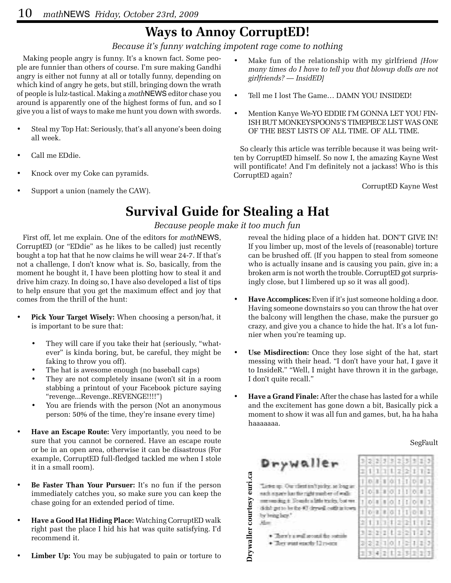### **Ways to Annoy CorruptED!**

*Because it's funny watching impotent rage come to nothing*

Making people angry is funny. It's a known fact. Some people are funnier than others of course. I'm sure making Gandhi angry is either not funny at all or totally funny, depending on which kind of angry he gets, but still, bringing down the wrath of people is lulz-tastical. Making a *math*NEWS editor chase you around is apparently one of the highest forms of fun, and so I give you a list of ways to make me hunt you down with swords.

- Steal my Top Hat: Seriously, that's all anyone's been doing all week.
- Call me EDdie.
- Knock over my Coke can pyramids.
- Support a union (namely the CAW).
- Make fun of the relationship with my girlfriend *[How many times do I have to tell you that blowup dolls are not girlfriends? — InsidED]*
- Tell me I lost The Game... DAMN YOU INSIDED!
- Mention Kanye We-YO EDDIE I'M GONNA LET YOU FIN-ISH BUT MONKEYSPOON5'S TIMEPIECE LIST WAS ONE OF THE BEST LISTS OF ALL TIME. OF ALL TIME.

So clearly this article was terrible because it was being written by CorruptED himself. So now I, the amazing Kayne West will pontificate! And I'm definitely not a jackass! Who is this CorruptED again?

CorruptED Kayne West

### **Survival Guide for Stealing a Hat**

#### *Because people make it too much fun*

First off, let me explain. One of the editors for *math*NEWS, CorruptED (or "EDdie" as he likes to be called) just recently bought a top hat that he now claims he will wear 24-7. If that's not a challenge, I don't know what is. So, basically, from the moment he bought it, I have been plotting how to steal it and drive him crazy. In doing so, I have also developed a list of tips to help ensure that you get the maximum effect and joy that comes from the thrill of the hunt:

- **Pick Your Target Wisely:** When choosing a person/hat, it is important to be sure that:
	- They will care if you take their hat (seriously, "whatever" is kinda boring, but, be careful, they might be faking to throw you off).
	- The hat is awesome enough (no baseball caps)
	- They are not completely insane (won't sit in a room stabbing a printout of your Facebook picture saying "revenge...Revenge..REVENGE!!!!")
	- You are friends with the person (Not an anonymous person: 50% of the time, they're insane every time)
- **Have an Escape Route:** Very importantly, you need to be sure that you cannot be cornered. Have an escape route or be in an open area, otherwise it can be disastrous (For example, CorruptED full-fledged tackled me when I stole it in a small room).
- **Be Faster Than Your Pursuer:** It's no fun if the person immediately catches you, so make sure you can keep the chase going for an extended period of time.
- **Have a Good Hat Hiding Place:** Watching CorruptED walk right past the place I hid his hat was quite satisfying. I'd recommend it.
- **Limber Up:** You may be subjugated to pain or torture to

reveal the hiding place of a hidden hat. DON'T GIVE IN! If you limber up, most of the levels of (reasonable) torture can be brushed off. (If you happen to steal from someone who is actually insane and is causing you pain, give in; a broken arm is not worth the trouble. CorruptED got surprisingly close, but I limbered up so it was all good).

- **Have Accomplices:** Even if it's just someone holding a door. Having someone downstairs so you can throw the hat over the balcony will lengthen the chase, make the pursuer go crazy, and give you a chance to hide the hat. It's a lot funnier when you're teaming up.
- **Use Misdirection:** Once they lose sight of the hat, start messing with their head. "I don't have your hat, I gave it to InsideR." "Well, I might have thrown it in the garbage, I don't quite recall."
- Have a Grand Finale: After the chase has lasted for a while and the excitement has gone down a bit, Basically pick a moment to show it was all fun and games, but, ha ha haha haaaaaaa.

#### SegFault



Drywaller courtesy euri.ca **Drywaller courtesy euri.ca**Leter up. Our client inchesting, as long an sach a guere has the right pupils of walls: menudig t. South a life tricky, but we didn't get to be the 93 deposit outfit in fown. by bring her."  $M_{\rm HI}$ 

- · There's a wall reveal the votable
- 
- · Joy was each 12 room

|   | 21   |         | 31 |               | 213 31 |        | 83   | a  |
|---|------|---------|----|---------------|--------|--------|------|----|
|   |      | 1111    |    | 1222          |        | T.     |      | 12 |
|   | в    |         |    | 3 1 0 1 1     |        |        |      |    |
|   |      |         |    | 0.111011101   |        |        |      | u  |
|   | O II |         |    | 1001110       |        |        |      | I  |
|   |      | o a     |    | 101110        |        |        |      | ä, |
| ż |      |         |    | 11377721112   |        |        |      |    |
| 3 | S.   |         |    | $21 + 12$     |        | 211113 |      |    |
|   | 2    | z.      |    | 1012          |        |        | - 11 | ă  |
|   | n.   | 搏<br>s. |    | 2 1 2 3 3 3 3 |        |        |      | 3  |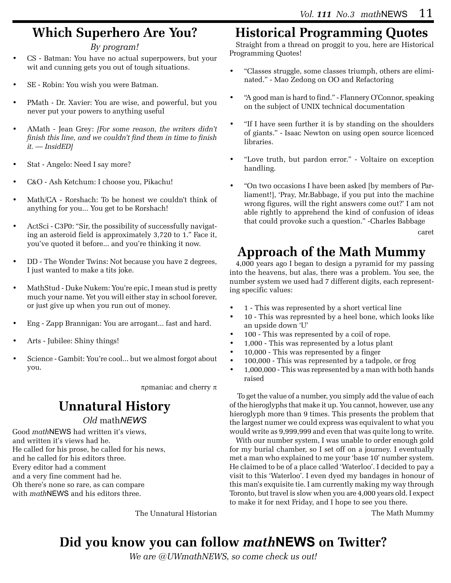# **Which Superhero Are You?**

#### *By program!*

- CS Batman: You have no actual superpowers, but your wit and cunning gets you out of tough situations.
- SE Robin: You wish you were Batman.
- PMath Dr. Xavier: You are wise, and powerful, but you never put your powers to anything useful
- AMath Jean Grey: *[For some reason, the writers didn't finish this line, and we couldn't find them in time to finish it. — InsidED]*
- Stat Angelo: Need I say more?
- C&O Ash Ketchum: I choose you, Pikachu!
- Math/CA Rorshach: To be honest we couldn't think of anything for you... You get to be Rorshach!
- ActSci C3P0: "Sir, the possibility of successfully navigating an asteroid field is approximately 3,720 to 1." Face it, you've quoted it before... and you're thinking it now.
- DD The Wonder Twins: Not because you have 2 degrees, I just wanted to make a tits joke.
- MathStud Duke Nukem: You're epic, I mean stud is pretty much your name. Yet you will either stay in school forever, or just give up when you run out of money.
- Eng Zapp Brannigan: You are arrogant... fast and hard.
- Arts Jubilee: Shiny things!
- Science Gambit: You're cool... but we almost forgot about you.

πρmaniac and cherry π

# **Unnatural History**

#### *Old* math*NEWS*

Good *math*NEWS had written it's views, and written it's views had he. He called for his prose, he called for his news, and he called for his editors three. Every editor had a comment and a very fine comment had he. Oh there's none so rare, as can compare with *math*NEWS and his editors three.

The Unnatural Historian

# **Historical Programming Quotes**

Straight from a thread on proggit to you, here are Historical Programming Quotes!

- • "Classes struggle, some classes triumph, others are eliminated." - Mao Zedong on OO and Refactoring
- "A good man is hard to find." Flannery O'Connor, speaking on the subject of UNIX technical documentation
- "If I have seen further it is by standing on the shoulders" of giants." - Isaac Newton on using open source licenced libraries.
- • "Love truth, but pardon error." Voltaire on exception handling.
- "On two occasions I have been asked [by members of Parliament!], 'Pray, Mr.Babbage, if you put into the machine wrong figures, will the right answers come out?' I am not able rightly to apprehend the kind of confusion of ideas that could provoke such a question." -Charles Babbage

caret

# **Approach of the Math Mummy**

4,000 years ago I began to design a pyramid for my passing into the heavens, but alas, there was a problem. You see, the number system we used had 7 different digits, each representing specific values:

- 1 This was represented by a short vertical line
- 10 This was represnted by a heel bone, which looks like an upside down 'U'
- 100 This was represented by a coil of rope.
- 1,000 This was represented by a lotus plant
- 10,000 This was represented by a finger
- 100,000 This was represented by a tadpole, or frog
- 1,000,000 This was represented by a man with both hands raised

 To get the value of a number, you simply add the value of each of the hieroglyphs that make it up. You cannot, however, use any hieroglyph more than 9 times. This presents the problem that the largest numer we could express was equivalent to what you would write as 9,999,999 and even that was quite long to write.

With our number system, I was unable to order enough gold for my burial chamber, so I set off on a journey. I eventually met a man who explained to me your 'base 10' number system. He claimed to be of a place called 'Waterloo'. I decided to pay a visit to this 'Waterloo'. I even dyed my bandages in honour of this man's exquisite tie. I am currently making my way through Toronto, but travel is slow when you are 4,000 years old. I expect to make it for next Friday, and I hope to see you there.

The Math Mummy

# **Did you know you can follow** *math***NEWS on Twitter?**

*We are @UWmathNEWS, so come check us out!*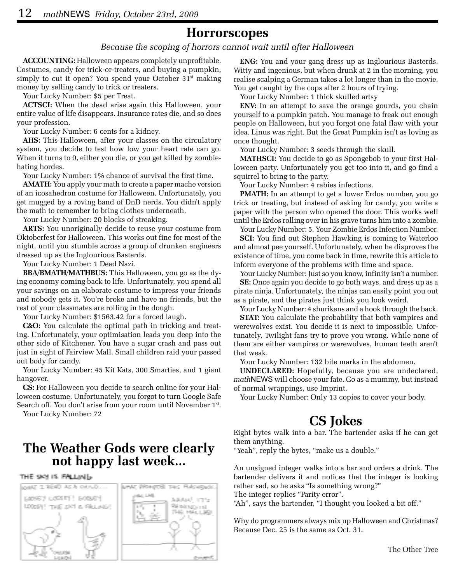### **Horrorscopes**

#### *Because the scoping of horrors cannot wait until after Halloween*

**ACCOUNTING:** Halloween appears completely unprofitable. Costumes, candy for trick-or-treaters, and buying a pumpkin, simply to cut it open? You spend your October  $31<sup>st</sup>$  making money by selling candy to trick or treaters.

Your Lucky Number: \$5 per Treat.

**ACTSCI:** When the dead arise again this Halloween, your entire value of life disappears. Insurance rates die, and so does your profession.

Your Lucky Number: 6 cents for a kidney.

**AHS:** This Halloween, after your classes on the circulatory system, you decide to test how low your heart rate can go. When it turns to 0, either you die, or you get killed by zombiehating hordes.

Your Lucky Number: 1% chance of survival the first time.

**AMATH:** You apply your math to create a paper mache version of an icosahedron costume for Halloween. Unfortunately, you get mugged by a roving band of DnD nerds. You didn't apply the math to remember to bring clothes underneath.

Your Lucky Number: 20 blocks of streaking.

**ARTS:** You unoriginally decide to reuse your costume from Oktoberfest for Halloween. This works out fine for most of the night, until you stumble across a group of drunken engineers dressed up as the Inglourious Basterds.

Your Lucky Number: 1 Dead Nazi.

**BBA/BMATH/MATHBUS:** This Halloween, you go as the dying economy coming back to life. Unfortunately, you spend all your savings on an elaborate costume to impress your friends and nobody gets it. You're broke and have no friends, but the rest of your classmates are rolling in the dough.

Your Lucky Number: \$1563.42 for a forced laugh.

**C&O:** You calculate the optimal path in tricking and treating. Unfortunately, your optimisation leads you deep into the other side of Kitchener. You have a sugar crash and pass out just in sight of Fairview Mall. Small children raid your passed out body for candy.

Your Lucky Number: 45 Kit Kats, 300 Smarties, and 1 giant hangover.

**CS:** For Halloween you decide to search online for your Halloween costume. Unfortunately, you forgot to turn Google Safe Search off. You don't arise from your room until November 1st.

Your Lucky Number: 72

# **The Weather Gods were clearly not happy last week...**

#### THE SKY IS FALLING.



**ENG:** You and your gang dress up as Inglourious Basterds. Witty and ingenious, but when drunk at 2 in the morning, you realise scalping a German takes a lot longer than in the movie. You get caught by the cops after 2 hours of trying.

Your Lucky Number: 1 thick skulled artsy

**ENV:** In an attempt to save the orange gourds, you chain yourself to a pumpkin patch. You manage to freak out enough people on Halloween, but you forgot one fatal flaw with your idea. Linus was right. But the Great Pumpkin isn't as loving as once thought.

Your Lucky Number: 3 seeds through the skull.

**MATHSCI:** You decide to go as Spongebob to your first Halloween party. Unfortunately you get too into it, and go find a squirrel to bring to the party.

Your Lucky Number: 4 rabies infections.

**PMATH:** In an attempt to get a lower Erdos number, you go trick or treating, but instead of asking for candy, you write a paper with the person who opened the door. This works well until the Erdos rolling over in his grave turns him into a zombie.

Your Lucky Number: 5. Your Zombie Erdos Infection Number. **SCI:** You find out Stephen Hawking is coming to Waterloo and almost pee yourself. Unfortunately, when he disproves the existence of time, you come back in time, rewrite this article to

inform everyone of the problems with time and space.

Your Lucky Number: Just so you know, infinity isn't a number. **SE:** Once again you decide to go both ways, and dress up as a pirate ninja. Unfortunately, the ninjas can easily point you out as a pirate, and the pirates just think you look weird.

Your Lucky Number: 4 shurikens and a hook through the back.

**STAT:** You calculate the probability that both vampires and werewolves exist. You decide it is next to impossible. Unfortunately, Twilight fans try to prove you wrong. While none of them are either vampires or werewolves, human teeth aren't that weak.

Your Lucky Number: 132 bite marks in the abdomen.

**UNDECLARED:** Hopefully, because you are undeclared, *math*NEWS will choose your fate. Go as a mummy, but instead of normal wrappings, use Imprint.

Your Lucky Number: Only 13 copies to cover your body.

#### **CS Jokes**

Eight bytes walk into a bar. The bartender asks if he can get them anything.

"Yeah", reply the bytes, "make us a double."

An unsigned integer walks into a bar and orders a drink. The bartender delivers it and notices that the integer is looking rather sad, so he asks "Is something wrong?"

The integer replies "Parity error".

"Ah", says the bartender, "I thought you looked a bit off."

Why do programmers always mix up Halloween and Christmas? Because Dec. 25 is the same as Oct. 31.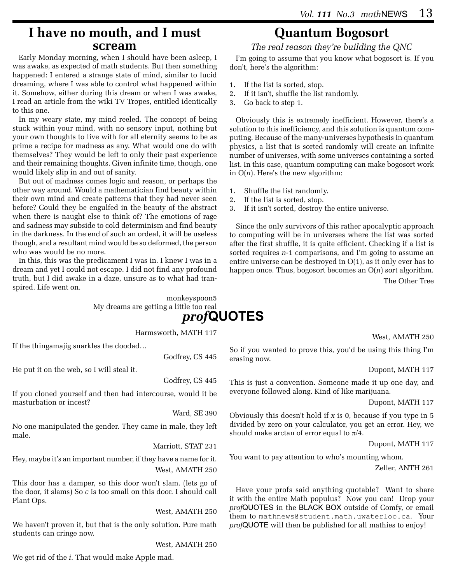### **I have no mouth, and I must scream**

Early Monday morning, when I should have been asleep, I was awake, as expected of math students. But then something happened: I entered a strange state of mind, similar to lucid dreaming, where I was able to control what happened within it. Somehow, either during this dream or when I was awake, I read an article from the wiki TV Tropes, entitled identically to this one.

In my weary state, my mind reeled. The concept of being stuck within your mind, with no sensory input, nothing but your own thoughts to live with for all eternity seems to be as prime a recipe for madness as any. What would one do with themselves? They would be left to only their past experience and their remaining thoughts. Given infinite time, though, one would likely slip in and out of sanity.

But out of madness comes logic and reason, or perhaps the other way around. Would a mathematician find beauty within their own mind and create patterns that they had never seen before? Could they be engulfed in the beauty of the abstract when there is naught else to think of? The emotions of rage and sadness may subside to cold determinism and find beauty in the darkness. In the end of such an ordeal, it will be useless though, and a resultant mind would be so deformed, the person who was would be no more.

In this, this was the predicament I was in. I knew I was in a dream and yet I could not escape. I did not find any profound truth, but I did awake in a daze, unsure as to what had transpired. Life went on.

> monkeyspoon5 My dreams are getting a little too real

*prof***QUOTES**

Harmsworth, MATH 117

If the thingamajig snarkles the doodad…

Godfrey, CS 445

He put it on the web, so I will steal it.

Godfrey, CS 445

If you cloned yourself and then had intercourse, would it be masturbation or incest?

Ward, SE 390

No one manipulated the gender. They came in male, they left male.

Marriott, STAT 231

Hey, maybe it's an important number, if they have a name for it. West, AMATH 250

This door has a damper, so this door won't slam. (lets go of the door, it slams) So *c* is too small on this door. I should call Plant Ops.

West, AMATH 250

We haven't proven it, but that is the only solution. Pure math students can cringe now.

West, AMATH 250

We get rid of the *i*. That would make Apple mad.

# **Quantum Bogosort**

*The real reason they're building the QNC*

I'm going to assume that you know what bogosort is. If you don't, here's the algorithm:

- 1. If the list is sorted, stop.
- 2. If it isn't, shuffle the list randomly.
- 3. Go back to step 1.

Obviously this is extremely inefficient. However, there's a solution to this inefficiency, and this solution is quantum computing. Because of the many-universes hypothesis in quantum physics, a list that is sorted randomly will create an infinite number of universes, with some universes containing a sorted list. In this case, quantum computing can make bogosort work in O(*n*). Here's the new algorithm:

- 1. Shuffle the list randomly.
- 2. If the list is sorted, stop.
- 3. If it isn't sorted, destroy the entire universe.

Since the only survivors of this rather apocalyptic approach to computing will be in universes where the list was sorted after the first shuffle, it is quite efficient. Checking if a list is sorted requires *n*-1 comparisons, and I'm going to assume an entire universe can be destroyed in O(1), as it only ever has to happen once. Thus, bogosort becomes an O(*n*) sort algorithm. The Other Tree

West, AMATH 250

So if you wanted to prove this, you'd be using this thing I'm erasing now.

Dupont, MATH 117

This is just a convention. Someone made it up one day, and everyone followed along. Kind of like marijuana.

Dupont, MATH 117

Obviously this doesn't hold if *x* is 0, because if you type in 5 divided by zero on your calculator, you get an error. Hey, we should make arctan of error equal to  $\pi/4$ .

Dupont, MATH 117

You want to pay attention to who's mounting whom.

Zeller, ANTH 261

Have your profs said anything quotable? Want to share it with the entire Math populus? Now you can! Drop your *prof*QUOTES in the BLACK BOX outside of Comfy, or email them to mathnews@student.math.uwaterloo.ca. Your *prof*QUOTE will then be published for all mathies to enjoy!